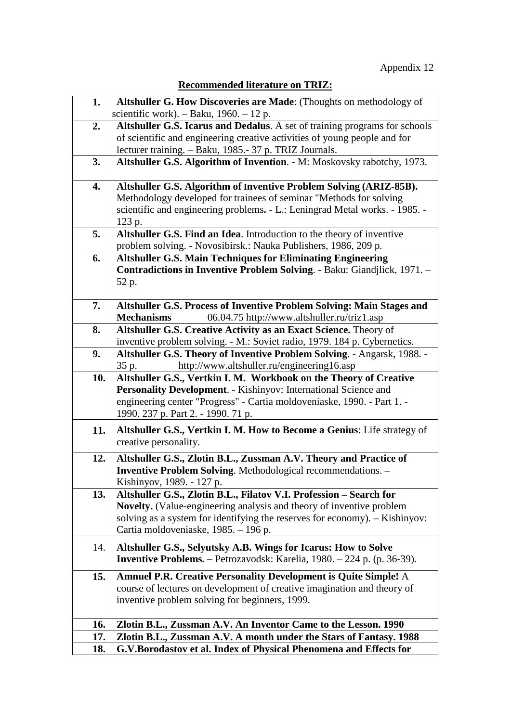| <b>Recommended literature on TRIZ:</b> |  |  |
|----------------------------------------|--|--|
|                                        |  |  |

| 1.  | Altshuller G. How Discoveries are Made: (Thoughts on methodology of            |
|-----|--------------------------------------------------------------------------------|
|     | scientific work). $-$ Baku, 1960. $-$ 12 p.                                    |
| 2.  | Altshuller G.S. Icarus and Dedalus. A set of training programs for schools     |
|     | of scientific and engineering creative activities of young people and for      |
|     | lecturer training. - Baku, 1985.- 37 p. TRIZ Journals.                         |
| 3.  | Altshuller G.S. Algorithm of Invention. - M: Moskovsky rabotchy, 1973.         |
|     |                                                                                |
| 4.  | Altshuller G.S. Algorithm of Inventive Problem Solving (ARIZ-85B).             |
|     | Methodology developed for trainees of seminar "Methods for solving             |
|     | scientific and engineering problems. - L.: Leningrad Metal works. - 1985. -    |
|     | 123 p.                                                                         |
| 5.  | Altshuller G.S. Find an Idea. Introduction to the theory of inventive          |
|     | problem solving. - Novosibirsk.: Nauka Publishers, 1986, 209 p.                |
| 6.  | <b>Altshuller G.S. Main Techniques for Eliminating Engineering</b>             |
|     | Contradictions in Inventive Problem Solving. - Baku: Giandjlick, 1971. -       |
|     | 52 p.                                                                          |
|     |                                                                                |
| 7.  | Altshuller G.S. Process of Inventive Problem Solving: Main Stages and          |
|     | 06.04.75 http://www.altshuller.ru/triz1.asp<br><b>Mechanisms</b>               |
|     |                                                                                |
| 8.  | Altshuller G.S. Creative Activity as an Exact Science. Theory of               |
|     | inventive problem solving. - M.: Soviet radio, 1979. 184 p. Cybernetics.       |
| 9.  | Altshuller G.S. Theory of Inventive Problem Solving. - Angarsk, 1988. -        |
|     | http://www.altshuller.ru/engineering16.asp<br>35 p.                            |
| 10. | Altshuller G.S., Vertkin I. M. Workbook on the Theory of Creative              |
|     | Personality Development. - Kishinyov: International Science and                |
|     | engineering center "Progress" - Cartia moldoveniaske, 1990. - Part 1. -        |
|     | 1990. 237 p. Part 2. - 1990. 71 p.                                             |
| 11. | Altshuller G.S., Vertkin I. M. How to Become a Genius: Life strategy of        |
|     | creative personality.                                                          |
|     |                                                                                |
| 12. | Altshuller G.S., Zlotin B.L., Zussman A.V. Theory and Practice of              |
|     | <b>Inventive Problem Solving.</b> Methodological recommendations. -            |
|     | Kishinyov, 1989. - 127 p.                                                      |
| 13. | Altshuller G.S., Zlotin B.L., Filatov V.I. Profession - Search for             |
|     | <b>Novelty.</b> (Value-engineering analysis and theory of inventive problem    |
|     | solving as a system for identifying the reserves for economy). - Kishinyov:    |
|     | Cartia moldoveniaske, 1985. – 196 p.                                           |
| 14. | Altshuller G.S., Selyutsky A.B. Wings for Icarus: How to Solve                 |
|     | <b>Inventive Problems.</b> – Petrozavodsk: Karelia, 1980. – 224 p. (p. 36-39). |
|     |                                                                                |
| 15. | <b>Amnuel P.R. Creative Personality Development is Quite Simple! A</b>         |
|     | course of lectures on development of creative imagination and theory of        |
|     | inventive problem solving for beginners, 1999.                                 |
|     |                                                                                |
| 16. | Zlotin B.L., Zussman A.V. An Inventor Came to the Lesson. 1990                 |
| 17. | Zlotin B.L., Zussman A.V. A month under the Stars of Fantasy. 1988             |
| 18. | G.V.Borodastov et al. Index of Physical Phenomena and Effects for              |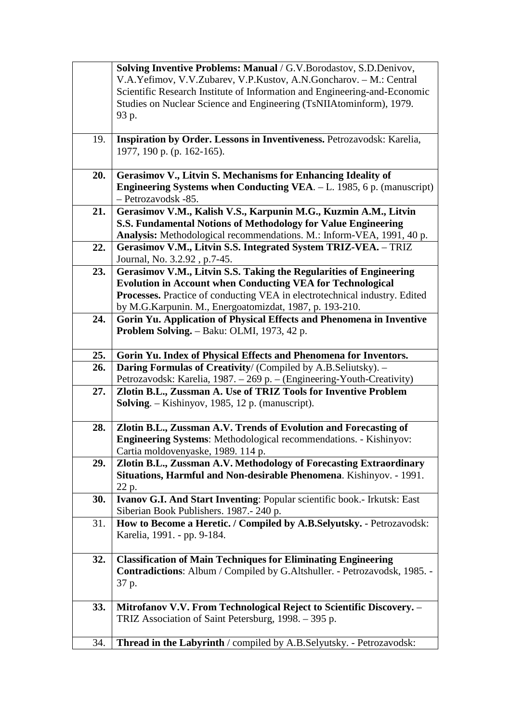|     | Solving Inventive Problems: Manual / G.V.Borodastov, S.D.Denivov,           |
|-----|-----------------------------------------------------------------------------|
|     | V.A.Yefimov, V.V.Zubarev, V.P.Kustov, A.N.Goncharov. - M.: Central          |
|     | Scientific Research Institute of Information and Engineering-and-Economic   |
|     | Studies on Nuclear Science and Engineering (TsNIIAtominform), 1979.         |
|     | 93 p.                                                                       |
|     |                                                                             |
| 19. | Inspiration by Order. Lessons in Inventiveness. Petrozavodsk: Karelia,      |
|     | 1977, 190 p. (p. 162-165).                                                  |
|     |                                                                             |
| 20. | Gerasimov V., Litvin S. Mechanisms for Enhancing Ideality of                |
|     | Engineering Systems when Conducting VEA. - L. 1985, 6 p. (manuscript)       |
|     | - Petrozavodsk -85.                                                         |
| 21. | Gerasimov V.M., Kalish V.S., Karpunin M.G., Kuzmin A.M., Litvin             |
|     | S.S. Fundamental Notions of Methodology for Value Engineering               |
|     | Analysis: Methodological recommendations. M.: Inform-VEA, 1991, 40 p.       |
| 22. | Gerasimov V.M., Litvin S.S. Integrated System TRIZ-VEA. - TRIZ              |
|     | Journal, No. 3.2.92, p.7-45.                                                |
| 23. | Gerasimov V.M., Litvin S.S. Taking the Regularities of Engineering          |
|     | <b>Evolution in Account when Conducting VEA for Technological</b>           |
|     |                                                                             |
|     | Processes. Practice of conducting VEA in electrotechnical industry. Edited  |
|     | by M.G.Karpunin. M., Energoatomizdat, 1987, p. 193-210.                     |
| 24. | Gorin Yu. Application of Physical Effects and Phenomena in Inventive        |
|     | Problem Solving. - Baku: OLMI, 1973, 42 p.                                  |
|     |                                                                             |
| 25. | Gorin Yu. Index of Physical Effects and Phenomena for Inventors.            |
| 26. | Daring Formulas of Creativity/ (Compiled by A.B.Seliutsky). -               |
|     | Petrozavodsk: Karelia, 1987. – 269 p. – (Engineering-Youth-Creativity)      |
| 27. | Zlotin B.L., Zussman A. Use of TRIZ Tools for Inventive Problem             |
|     | <b>Solving.</b> – Kishinyov, 1985, 12 p. (manuscript).                      |
|     |                                                                             |
| 28. | Zlotin B.L., Zussman A.V. Trends of Evolution and Forecasting of            |
|     | <b>Engineering Systems:</b> Methodological recommendations. - Kishinyov:    |
|     | Cartia moldovenyaske, 1989. 114 p.                                          |
| 29. | Zlotin B.L., Zussman A.V. Methodology of Forecasting Extraordinary          |
|     | Situations, Harmful and Non-desirable Phenomena. Kishinyov. - 1991.         |
|     | 22 p.                                                                       |
| 30. | Ivanov G.I. And Start Inventing: Popular scientific book.- Irkutsk: East    |
|     | Siberian Book Publishers. 1987.-240 p.                                      |
| 31. | How to Become a Heretic. / Compiled by A.B.Selyutsky. - Petrozavodsk:       |
|     | Karelia, 1991. - pp. 9-184.                                                 |
|     |                                                                             |
| 32. | <b>Classification of Main Techniques for Eliminating Engineering</b>        |
|     | Contradictions: Album / Compiled by G.Altshuller. - Petrozavodsk, 1985. -   |
|     |                                                                             |
|     | 37 p.                                                                       |
|     |                                                                             |
| 33. | Mitrofanov V.V. From Technological Reject to Scientific Discovery. -        |
|     | TRIZ Association of Saint Petersburg, 1998. - 395 p.                        |
|     |                                                                             |
| 34. | <b>Thread in the Labyrinth</b> / compiled by A.B.Selyutsky. - Petrozavodsk: |